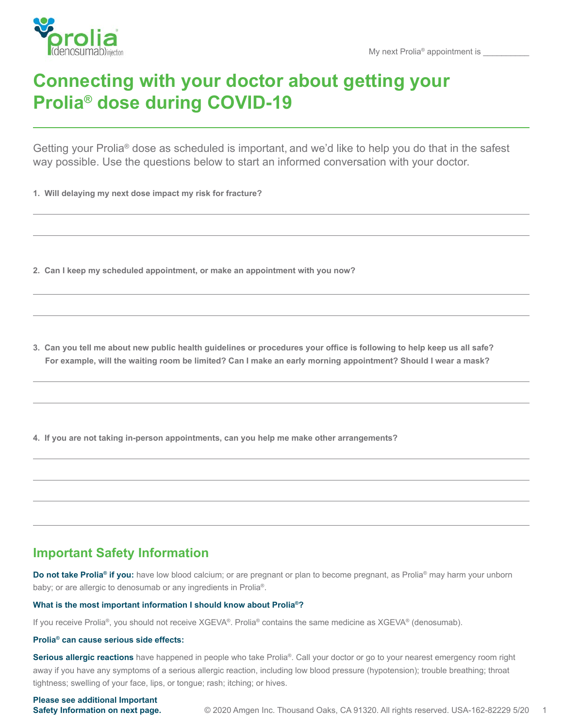

# **Connecting with your doctor about getting your Prolia® dose during COVID-19**

Getting your Prolia® dose as scheduled is important, and we'd like to help you do that in the safest way possible. Use the questions below to start an informed conversation with your doctor.

**1. Will delaying my next dose impact my risk for fracture?** 

**2. Can I keep my scheduled appointment, or make an appointment with you now?** 

**3. Can you tell me about new public health guidelines or procedures your office is following to help keep us all safe? For example, will the waiting room be limited? Can I make an early morning appointment? Should I wear a mask?** 

**4. If you are not taking in-person appointments, can you help me make other arrangements?** 

# **Important Safety Information**

**Do not take Prolia® if you:** have low blood calcium; or are pregnant or plan to become pregnant, as Prolia® may harm your unborn baby; or are allergic to denosumab or any ingredients in Prolia®.

## **What is the most important information I should know about Prolia®?**

If you receive Prolia®, you should not receive XGEVA®. Prolia® contains the same medicine as XGEVA® (denosumab).

### **Prolia® can cause serious side effects:**

**Serious allergic reactions** have happened in people who take Prolia®. Call your doctor or go to your nearest emergency room right away if you have any symptoms of a serious allergic reaction, including low blood pressure (hypotension); trouble breathing; throat tightness; swelling of your face, lips, or tongue; rash; itching; or hives.

**Please see additional Important Safety Information on next page.**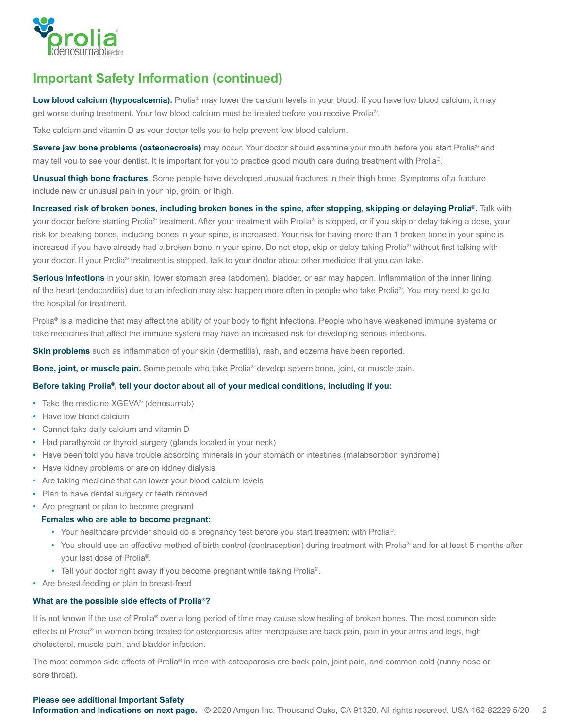

# **Important Safety Information (continued)**

Low blood calcium (hypocalcemia). Prolia® may lower the calcium levels in your blood. If you have low blood calcium, it may get worse during treatment. Your low blood calcium must be treated before you receive Prolia®.

Take calcium and vitamin D as your doctor tells you to help prevent low blood calcium.

**Severe jaw bone problems (osteonecrosis)** may occur. Your doctor should examine your mouth before you start Prolia<sup>®</sup> and may tell you to see your dentist. It is important for you to practice good mouth care during treatment with Prolia®.

**Unusual thigh bone fractures.** Some people have developed unusual fractures in their thigh bone. Symptoms of a fracture include new or unusual pain in your hip, groin, or thigh.

**Increased risk of broken bones, including broken bones in the spine, after stopping, skipping or delaying Prolia®.** Talk with your doctor before starting Prolia® treatment. After your treatment with Prolia® is stopped, or if you skip or delay taking a dose, your risk for breaking bones, including bones in your spine, is increased. Your risk for having more than 1 broken bone in your spine is increased if you have already had a broken bone in your spine. Do not stop, skip or delay taking Prolia® without first talking with your doctor. If your Prolia® treatment is stopped, talk to your doctor about other medicine that you can take.

**Serious infections** in your skin, lower stomach area (abdomen), bladder, or ear may happen. Inflammation of the inner lining of the heart (endocarditis) due to an infection may also happen more often in people who take Prolia®. You may need to go to the hospital for treatment.

Prolia<sup>®</sup> is a medicine that may affect the ability of your body to fight infections. People who have weakened immune systems or take medicines that affect the immune system may have an increased risk for developing serious infections.

**Skin problems** such as inflammation of your skin (dermatitis), rash, and eczema have been reported.

**Bone, joint, or muscle pain.** Some people who take Prolia® develop severe bone, joint, or muscle pain.

### **Before taking Prolia®, tell your doctor about all of your medical conditions, including if you:**

- Take the medicine XGEVA® (denosumab)
- Have low blood calcium
- Cannot take daily calcium and vitamin D
- Had parathyroid or thyroid surgery (glands located in your neck)
- Have been told you have trouble absorbing minerals in your stomach or intestines (malabsorption syndrome)
- Have kidney problems or are on kidney dialysis
- Are taking medicine that can lower your blood calcium levels
- Plan to have dental surgery or teeth removed
- Are pregnant or plan to become pregnant

#### **Females who are able to become pregnant:**

- Your healthcare provider should do a pregnancy test before you start treatment with Prolia®.
- You should use an effective method of birth control (contraception) during treatment with Prolia® and for at least 5 months after your last dose of Prolia®.
- Tell your doctor right away if you become pregnant while taking Prolia®.
- Are breast-feeding or plan to breast-feed

### **What are the possible side effects of Prolia®?**

It is not known if the use of Prolia<sup>®</sup> over a long period of time may cause slow healing of broken bones. The most common side effects of Prolia® in women being treated for osteoporosis after menopause are back pain, pain in your arms and legs, high cholesterol, muscle pain, and bladder infection.

The most common side effects of Prolia® in men with osteoporosis are back pain, joint pain, and common cold (runny nose or sore throat).

### **Please see additional Important Safety**